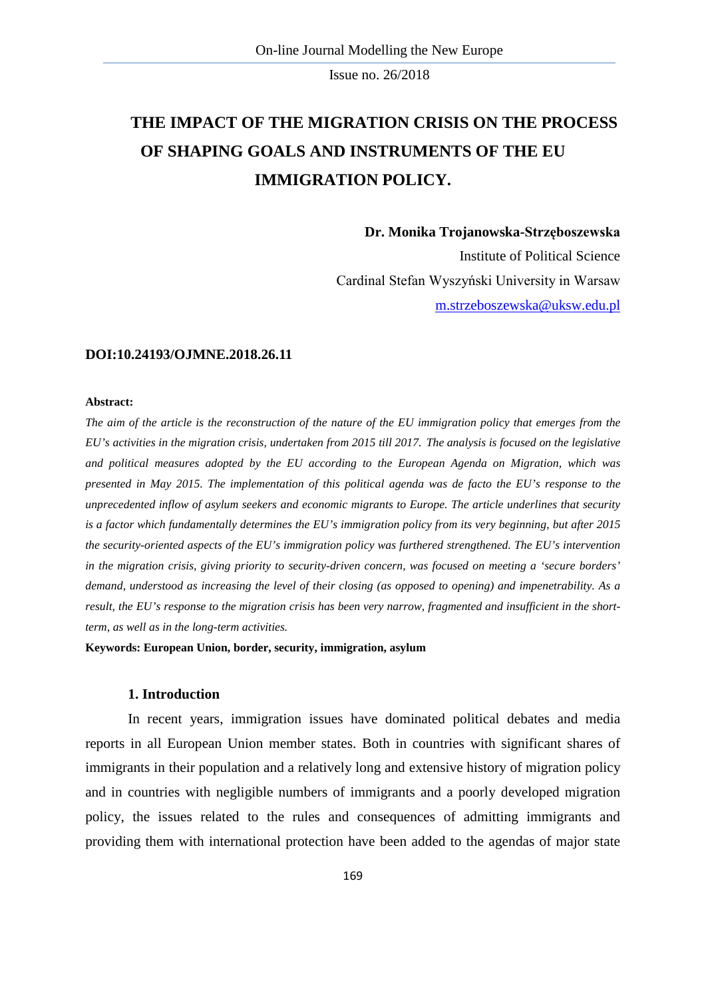# **THE IMPACT OF THE MIGRATION CRISIS ON THE PROCESS OF SHAPING GOALS AND INSTRUMENTS OF THE EU IMMIGRATION POLICY.**

**Dr. Monika Trojanowska-Strzęboszewska**

Institute of Political Science Cardinal Stefan Wyszyński University in Warsaw [m.strzeboszewska@uksw.edu.pl](mailto:m.strzeboszewska@uksw.edu.pl)

#### **DOI:10.24193/OJMNE.2018.26.11**

#### **Abstract:**

*The aim of the article is the reconstruction of the nature of the EU immigration policy that emerges from the EU's activities in the migration crisis, undertaken from 2015 till 2017. The analysis is focused on the legislative and political measures adopted by the EU according to the European Agenda on Migration, which was presented in May 2015. The implementation of this political agenda was de facto the EU's response to the unprecedented inflow of asylum seekers and economic migrants to Europe. The article underlines that security is a factor which fundamentally determines the EU's immigration policy from its very beginning, but after 2015 the security-oriented aspects of the EU's immigration policy was furthered strengthened. The EU's intervention in the migration crisis, giving priority to security-driven concern, was focused on meeting a 'secure borders' demand, understood as increasing the level of their closing (as opposed to opening) and impenetrability. As a result, the EU's response to the migration crisis has been very narrow, fragmented and insufficient in the shortterm, as well as in the long-term activities.*

**Keywords: European Union, border, security, immigration, asylum**

# **1. Introduction**

In recent years, immigration issues have dominated political debates and media reports in all European Union member states. Both in countries with significant shares of immigrants in their population and a relatively long and extensive history of migration policy and in countries with negligible numbers of immigrants and a poorly developed migration policy, the issues related to the rules and consequences of admitting immigrants and providing them with international protection have been added to the agendas of major state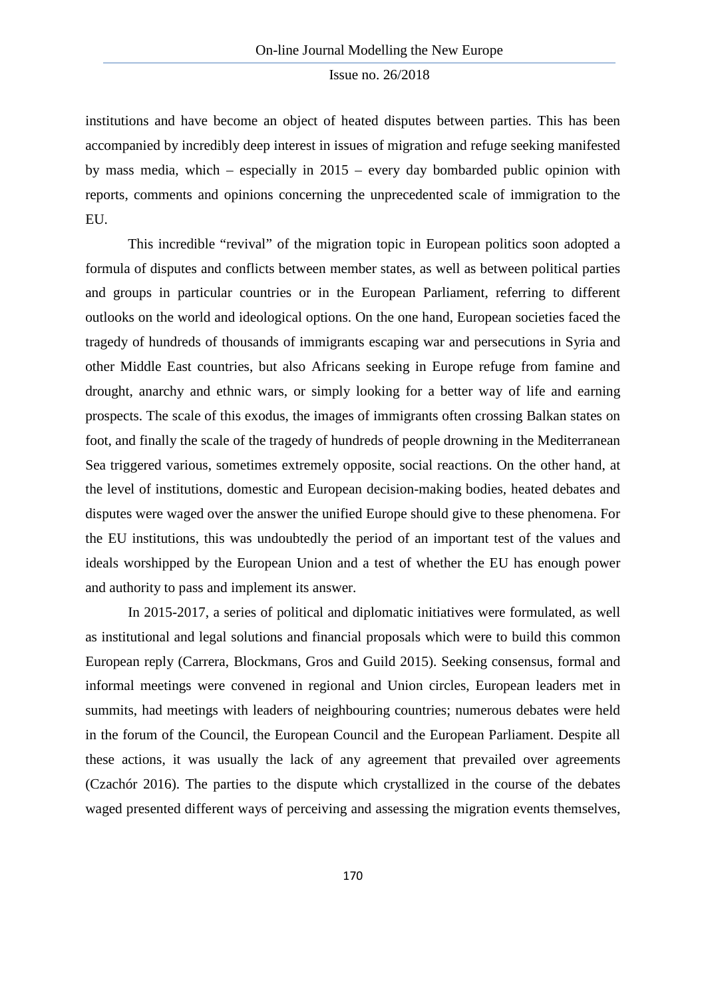institutions and have become an object of heated disputes between parties. This has been accompanied by incredibly deep interest in issues of migration and refuge seeking manifested by mass media, which – especially in 2015 – every day bombarded public opinion with reports, comments and opinions concerning the unprecedented scale of immigration to the EU.

This incredible "revival" of the migration topic in European politics soon adopted a formula of disputes and conflicts between member states, as well as between political parties and groups in particular countries or in the European Parliament, referring to different outlooks on the world and ideological options. On the one hand, European societies faced the tragedy of hundreds of thousands of immigrants escaping war and persecutions in Syria and other Middle East countries, but also Africans seeking in Europe refuge from famine and drought, anarchy and ethnic wars, or simply looking for a better way of life and earning prospects. The scale of this exodus, the images of immigrants often crossing Balkan states on foot, and finally the scale of the tragedy of hundreds of people drowning in the Mediterranean Sea triggered various, sometimes extremely opposite, social reactions. On the other hand, at the level of institutions, domestic and European decision-making bodies, heated debates and disputes were waged over the answer the unified Europe should give to these phenomena. For the EU institutions, this was undoubtedly the period of an important test of the values and ideals worshipped by the European Union and a test of whether the EU has enough power and authority to pass and implement its answer.

In 2015-2017, a series of political and diplomatic initiatives were formulated, as well as institutional and legal solutions and financial proposals which were to build this common European reply (Carrera, Blockmans, Gros and Guild 2015). Seeking consensus, formal and informal meetings were convened in regional and Union circles, European leaders met in summits, had meetings with leaders of neighbouring countries; numerous debates were held in the forum of the Council, the European Council and the European Parliament. Despite all these actions, it was usually the lack of any agreement that prevailed over agreements (Czachór 2016). The parties to the dispute which crystallized in the course of the debates waged presented different ways of perceiving and assessing the migration events themselves,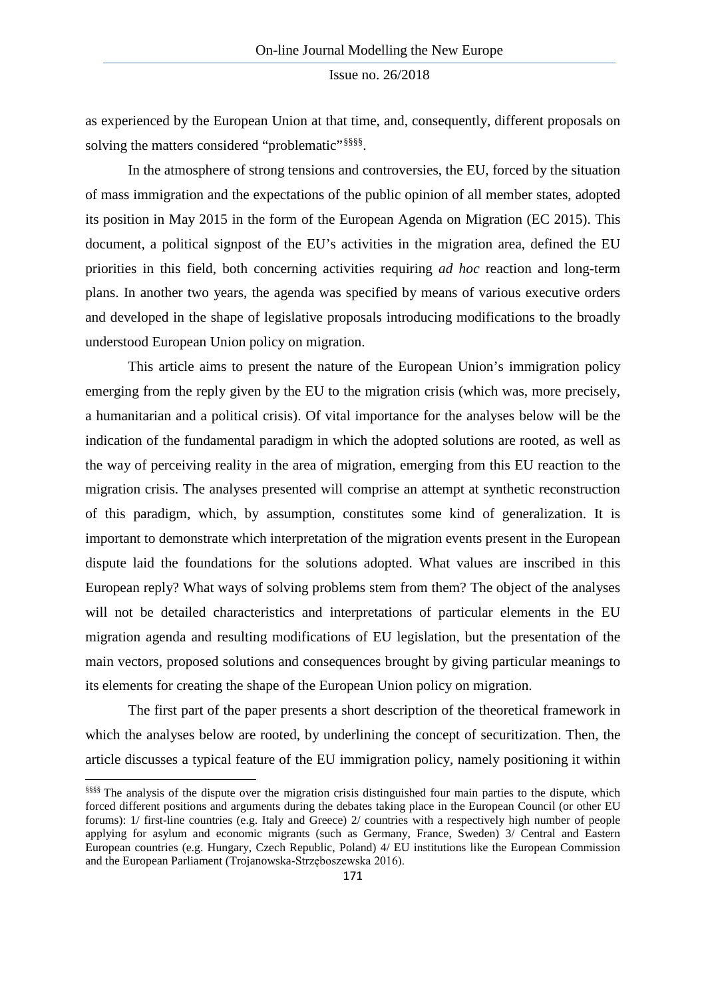as experienced by the European Union at that time, and, consequently, different proposals on solving the matters considered "problematic"<sup>[§§§§](#page-2-0)</sup>.

In the atmosphere of strong tensions and controversies, the EU, forced by the situation of mass immigration and the expectations of the public opinion of all member states, adopted its position in May 2015 in the form of the European Agenda on Migration (EC 2015). This document, a political signpost of the EU's activities in the migration area, defined the EU priorities in this field, both concerning activities requiring *ad hoc* reaction and long-term plans. In another two years, the agenda was specified by means of various executive orders and developed in the shape of legislative proposals introducing modifications to the broadly understood European Union policy on migration.

This article aims to present the nature of the European Union's immigration policy emerging from the reply given by the EU to the migration crisis (which was, more precisely, a humanitarian and a political crisis). Of vital importance for the analyses below will be the indication of the fundamental paradigm in which the adopted solutions are rooted, as well as the way of perceiving reality in the area of migration, emerging from this EU reaction to the migration crisis. The analyses presented will comprise an attempt at synthetic reconstruction of this paradigm, which, by assumption, constitutes some kind of generalization. It is important to demonstrate which interpretation of the migration events present in the European dispute laid the foundations for the solutions adopted. What values are inscribed in this European reply? What ways of solving problems stem from them? The object of the analyses will not be detailed characteristics and interpretations of particular elements in the EU migration agenda and resulting modifications of EU legislation, but the presentation of the main vectors, proposed solutions and consequences brought by giving particular meanings to its elements for creating the shape of the European Union policy on migration.

The first part of the paper presents a short description of the theoretical framework in which the analyses below are rooted, by underlining the concept of securitization. Then, the article discusses a typical feature of the EU immigration policy, namely positioning it within

**.** 

<span id="page-2-0"></span><sup>§§§§§§</sup> The analysis of the dispute over the migration crisis distinguished four main parties to the dispute, which forced different positions and arguments during the debates taking place in the European Council (or other EU forums): 1/ first-line countries (e.g. Italy and Greece) 2/ countries with a respectively high number of people applying for asylum and economic migrants (such as Germany, France, Sweden) 3/ Central and Eastern European countries (e.g. Hungary, Czech Republic, Poland) 4/ EU institutions like the European Commission and the European Parliament (Trojanowska-Strzęboszewska 2016).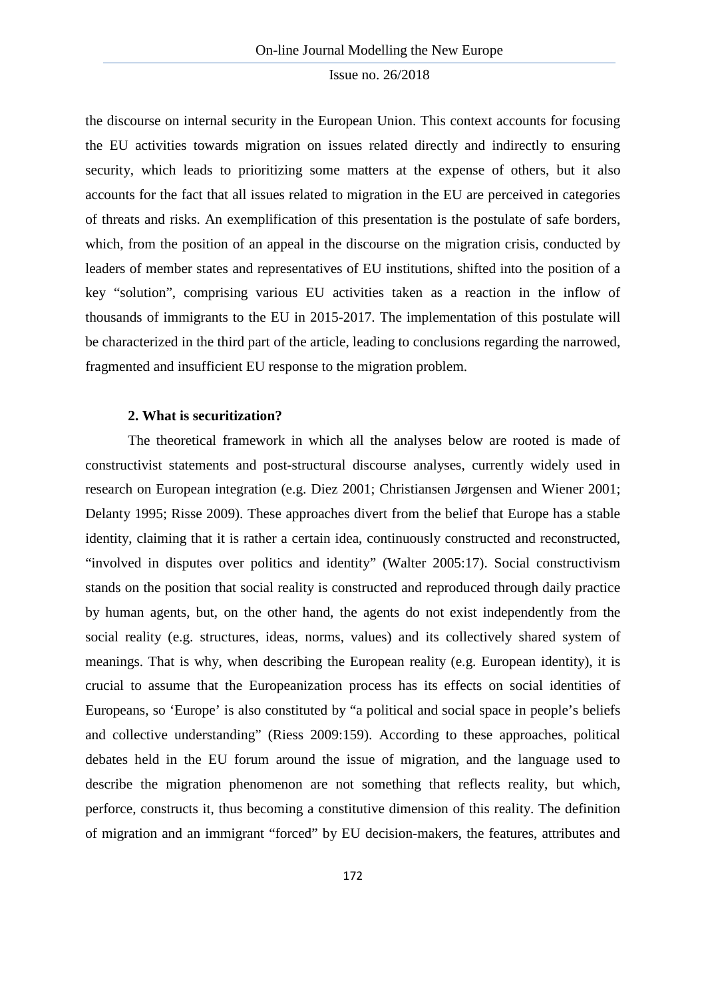the discourse on internal security in the European Union. This context accounts for focusing the EU activities towards migration on issues related directly and indirectly to ensuring security, which leads to prioritizing some matters at the expense of others, but it also accounts for the fact that all issues related to migration in the EU are perceived in categories of threats and risks. An exemplification of this presentation is the postulate of safe borders, which, from the position of an appeal in the discourse on the migration crisis, conducted by leaders of member states and representatives of EU institutions, shifted into the position of a key "solution", comprising various EU activities taken as a reaction in the inflow of thousands of immigrants to the EU in 2015-2017. The implementation of this postulate will be characterized in the third part of the article, leading to conclusions regarding the narrowed, fragmented and insufficient EU response to the migration problem.

#### **2. What is securitization?**

The theoretical framework in which all the analyses below are rooted is made of constructivist statements and post-structural discourse analyses, currently widely used in research on European integration (e.g. Diez 2001; Christiansen Jørgensen and Wiener 2001; Delanty 1995; Risse 2009). These approaches divert from the belief that Europe has a stable identity, claiming that it is rather a certain idea, continuously constructed and reconstructed, "involved in disputes over politics and identity" (Walter 2005:17). Social constructivism stands on the position that social reality is constructed and reproduced through daily practice by human agents, but, on the other hand, the agents do not exist independently from the social reality (e.g. structures, ideas, norms, values) and its collectively shared system of meanings. That is why, when describing the European reality (e.g. European identity), it is crucial to assume that the Europeanization process has its effects on social identities of Europeans, so 'Europe' is also constituted by "a political and social space in people's beliefs and collective understanding" (Riess 2009:159). According to these approaches, political debates held in the EU forum around the issue of migration, and the language used to describe the migration phenomenon are not something that reflects reality, but which, perforce, constructs it, thus becoming a constitutive dimension of this reality. The definition of migration and an immigrant "forced" by EU decision-makers, the features, attributes and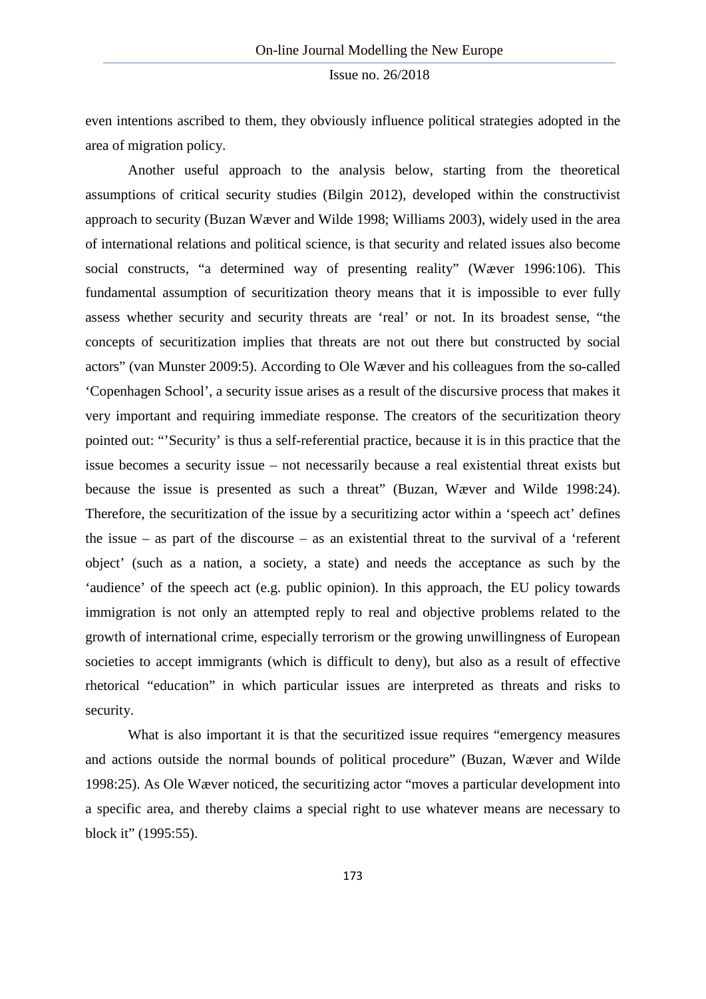even intentions ascribed to them, they obviously influence political strategies adopted in the area of migration policy.

Another useful approach to the analysis below, starting from the theoretical assumptions of critical security studies (Bilgin 2012), developed within the constructivist approach to security (Buzan Wæver and Wilde 1998; Williams 2003), widely used in the area of international relations and political science, is that security and related issues also become social constructs, "a determined way of presenting reality" (Wæver 1996:106). This fundamental assumption of securitization theory means that it is impossible to ever fully assess whether security and security threats are 'real' or not. In its broadest sense, "the concepts of securitization implies that threats are not out there but constructed by social actors" (van Munster 2009:5). According to Ole Wæver and his colleagues from the so-called 'Copenhagen School', a security issue arises as a result of the discursive process that makes it very important and requiring immediate response. The creators of the securitization theory pointed out: "'Security' is thus a self-referential practice, because it is in this practice that the issue becomes a security issue – not necessarily because a real existential threat exists but because the issue is presented as such a threat" (Buzan, Wæver and Wilde 1998:24). Therefore, the securitization of the issue by a securitizing actor within a 'speech act' defines the issue – as part of the discourse – as an existential threat to the survival of a 'referent object' (such as a nation, a society, a state) and needs the acceptance as such by the 'audience' of the speech act (e.g. public opinion). In this approach, the EU policy towards immigration is not only an attempted reply to real and objective problems related to the growth of international crime, especially terrorism or the growing unwillingness of European societies to accept immigrants (which is difficult to deny), but also as a result of effective rhetorical "education" in which particular issues are interpreted as threats and risks to security.

What is also important it is that the securitized issue requires "emergency measures and actions outside the normal bounds of political procedure" (Buzan, Wæver and Wilde 1998:25). As Ole Wæver noticed, the securitizing actor "moves a particular development into a specific area, and thereby claims a special right to use whatever means are necessary to block it" (1995:55).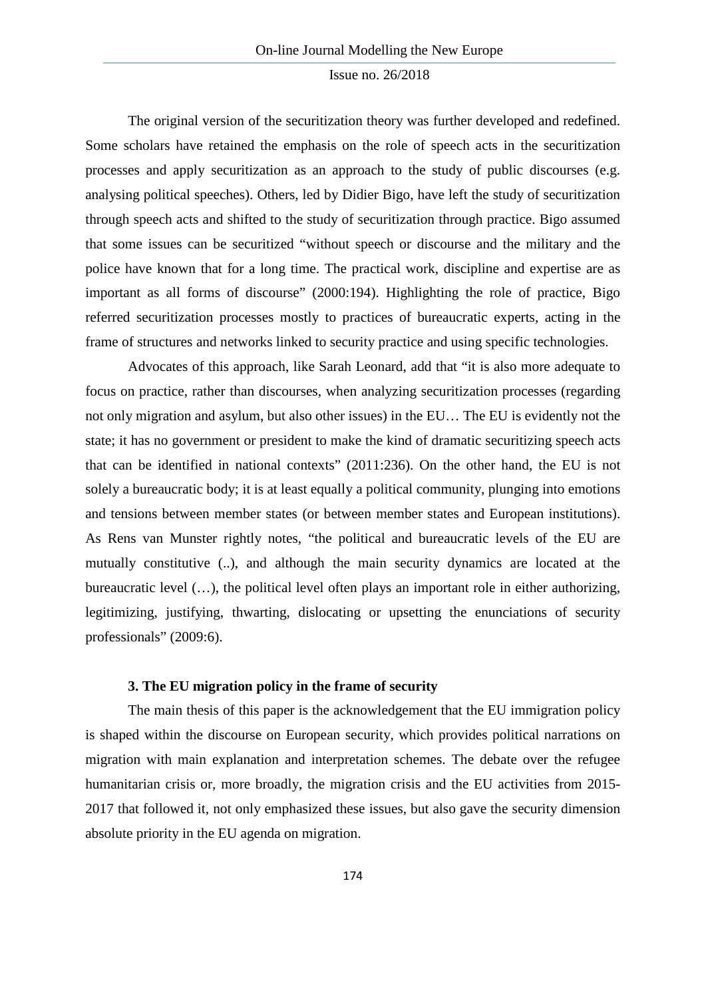The original version of the securitization theory was further developed and redefined. Some scholars have retained the emphasis on the role of speech acts in the securitization processes and apply securitization as an approach to the study of public discourses (e.g. analysing political speeches). Others, led by Didier Bigo, have left the study of securitization through speech acts and shifted to the study of securitization through practice. Bigo assumed that some issues can be securitized "without speech or discourse and the military and the police have known that for a long time. The practical work, discipline and expertise are as important as all forms of discourse" (2000:194). Highlighting the role of practice, Bigo referred securitization processes mostly to practices of bureaucratic experts, acting in the frame of structures and networks linked to security practice and using specific technologies.

Advocates of this approach, like Sarah Leonard, add that "it is also more adequate to focus on practice, rather than discourses, when analyzing securitization processes (regarding not only migration and asylum, but also other issues) in the EU… The EU is evidently not the state; it has no government or president to make the kind of dramatic securitizing speech acts that can be identified in national contexts" (2011:236). On the other hand, the EU is not solely a bureaucratic body; it is at least equally a political community, plunging into emotions and tensions between member states (or between member states and European institutions). As Rens van Munster rightly notes, "the political and bureaucratic levels of the EU are mutually constitutive (..), and although the main security dynamics are located at the bureaucratic level (…), the political level often plays an important role in either authorizing, legitimizing, justifying, thwarting, dislocating or upsetting the enunciations of security professionals" (2009:6).

#### **3. The EU migration policy in the frame of security**

The main thesis of this paper is the acknowledgement that the EU immigration policy is shaped within the discourse on European security, which provides political narrations on migration with main explanation and interpretation schemes. The debate over the refugee humanitarian crisis or, more broadly, the migration crisis and the EU activities from 2015- 2017 that followed it, not only emphasized these issues, but also gave the security dimension absolute priority in the EU agenda on migration.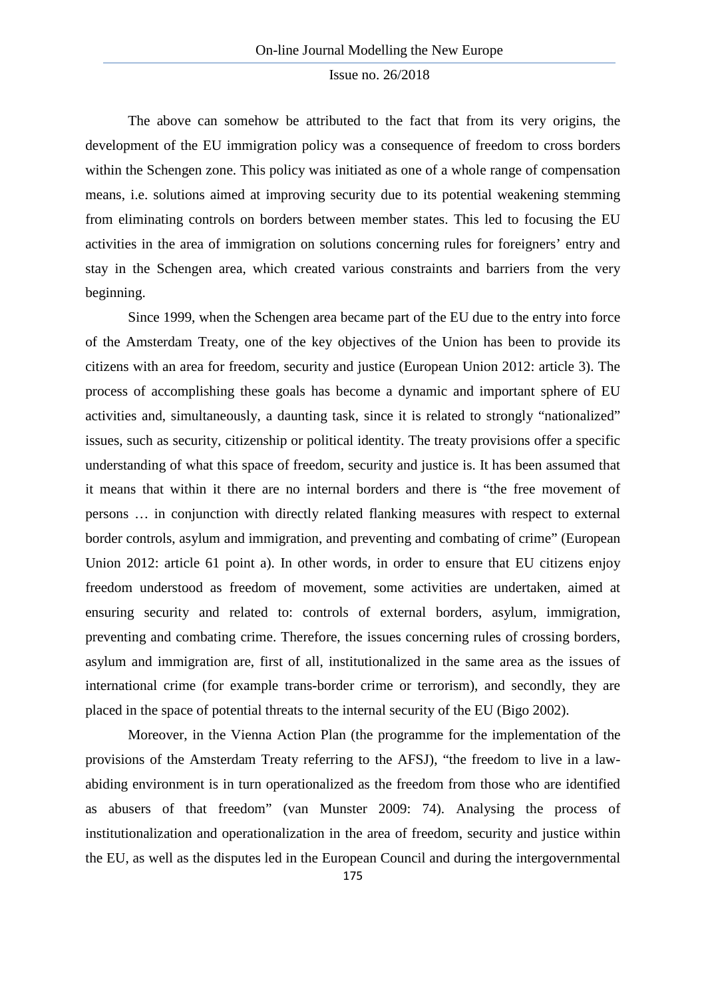The above can somehow be attributed to the fact that from its very origins, the development of the EU immigration policy was a consequence of freedom to cross borders within the Schengen zone. This policy was initiated as one of a whole range of compensation means, i.e. solutions aimed at improving security due to its potential weakening stemming from eliminating controls on borders between member states. This led to focusing the EU activities in the area of immigration on solutions concerning rules for foreigners' entry and stay in the Schengen area, which created various constraints and barriers from the very beginning.

Since 1999, when the Schengen area became part of the EU due to the entry into force of the Amsterdam Treaty, one of the key objectives of the Union has been to provide its citizens with an area for freedom, security and justice (European Union 2012: article 3). The process of accomplishing these goals has become a dynamic and important sphere of EU activities and, simultaneously, a daunting task, since it is related to strongly "nationalized" issues, such as security, citizenship or political identity. The treaty provisions offer a specific understanding of what this space of freedom, security and justice is. It has been assumed that it means that within it there are no internal borders and there is "the free movement of persons … in conjunction with directly related flanking measures with respect to external border controls, asylum and immigration, and preventing and combating of crime" (European Union 2012: article 61 point a). In other words, in order to ensure that EU citizens enjoy freedom understood as freedom of movement, some activities are undertaken, aimed at ensuring security and related to: controls of external borders, asylum, immigration, preventing and combating crime. Therefore, the issues concerning rules of crossing borders, asylum and immigration are, first of all, institutionalized in the same area as the issues of international crime (for example trans-border crime or terrorism), and secondly, they are placed in the space of potential threats to the internal security of the EU (Bigo 2002).

Moreover, in the Vienna Action Plan (the programme for the implementation of the provisions of the Amsterdam Treaty referring to the AFSJ), "the freedom to live in a lawabiding environment is in turn operationalized as the freedom from those who are identified as abusers of that freedom" (van Munster 2009: 74). Analysing the process of institutionalization and operationalization in the area of freedom, security and justice within the EU, as well as the disputes led in the European Council and during the intergovernmental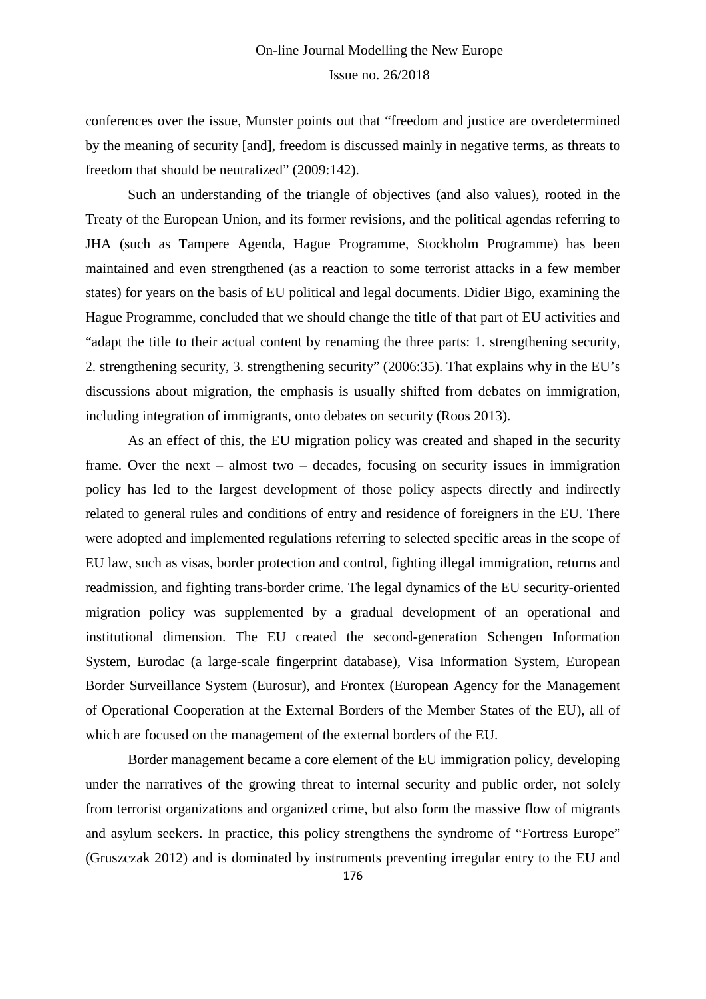conferences over the issue, Munster points out that "freedom and justice are overdetermined by the meaning of security [and], freedom is discussed mainly in negative terms, as threats to freedom that should be neutralized" (2009:142).

Such an understanding of the triangle of objectives (and also values), rooted in the Treaty of the European Union, and its former revisions, and the political agendas referring to JHA (such as Tampere Agenda, Hague Programme, Stockholm Programme) has been maintained and even strengthened (as a reaction to some terrorist attacks in a few member states) for years on the basis of EU political and legal documents. Didier Bigo, examining the Hague Programme, concluded that we should change the title of that part of EU activities and "adapt the title to their actual content by renaming the three parts: 1. strengthening security, 2. strengthening security, 3. strengthening security" (2006:35). That explains why in the EU's discussions about migration, the emphasis is usually shifted from debates on immigration, including integration of immigrants, onto debates on security (Roos 2013).

As an effect of this, the EU migration policy was created and shaped in the security frame. Over the next – almost two – decades, focusing on security issues in immigration policy has led to the largest development of those policy aspects directly and indirectly related to general rules and conditions of entry and residence of foreigners in the EU. There were adopted and implemented regulations referring to selected specific areas in the scope of EU law, such as visas, border protection and control, fighting illegal immigration, returns and readmission, and fighting trans-border crime. The legal dynamics of the EU security-oriented migration policy was supplemented by a gradual development of an operational and institutional dimension. The EU created the second-generation Schengen Information System, Eurodac (a large-scale fingerprint database), Visa Information System, European Border Surveillance System (Eurosur), and Frontex (European Agency for the Management of Operational Cooperation at the External Borders of the Member States of the EU), all of which are focused on the management of the external borders of the EU.

Border management became a core element of the EU immigration policy, developing under the narratives of the growing threat to internal security and public order, not solely from terrorist organizations and organized crime, but also form the massive flow of migrants and asylum seekers. In practice, this policy strengthens the syndrome of "Fortress Europe" (Gruszczak 2012) and is dominated by instruments preventing irregular entry to the EU and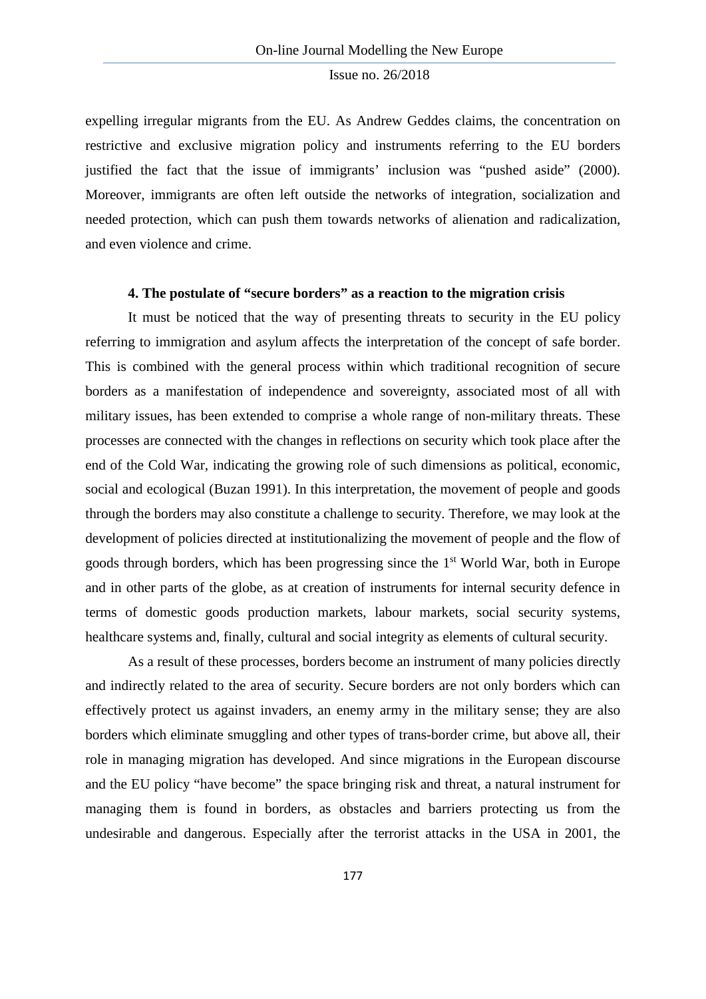expelling irregular migrants from the EU. As Andrew Geddes claims, the concentration on restrictive and exclusive migration policy and instruments referring to the EU borders justified the fact that the issue of immigrants' inclusion was "pushed aside" (2000). Moreover, immigrants are often left outside the networks of integration, socialization and needed protection, which can push them towards networks of alienation and radicalization, and even violence and crime.

# **4. The postulate of "secure borders" as a reaction to the migration crisis**

It must be noticed that the way of presenting threats to security in the EU policy referring to immigration and asylum affects the interpretation of the concept of safe border. This is combined with the general process within which traditional recognition of secure borders as a manifestation of independence and sovereignty, associated most of all with military issues, has been extended to comprise a whole range of non-military threats. These processes are connected with the changes in reflections on security which took place after the end of the Cold War, indicating the growing role of such dimensions as political, economic, social and ecological (Buzan 1991). In this interpretation, the movement of people and goods through the borders may also constitute a challenge to security. Therefore, we may look at the development of policies directed at institutionalizing the movement of people and the flow of goods through borders, which has been progressing since the  $1<sup>st</sup>$  World War, both in Europe and in other parts of the globe, as at creation of instruments for internal security defence in terms of domestic goods production markets, labour markets, social security systems, healthcare systems and, finally, cultural and social integrity as elements of cultural security.

As a result of these processes, borders become an instrument of many policies directly and indirectly related to the area of security. Secure borders are not only borders which can effectively protect us against invaders, an enemy army in the military sense; they are also borders which eliminate smuggling and other types of trans-border crime, but above all, their role in managing migration has developed. And since migrations in the European discourse and the EU policy "have become" the space bringing risk and threat, a natural instrument for managing them is found in borders, as obstacles and barriers protecting us from the undesirable and dangerous. Especially after the terrorist attacks in the USA in 2001, the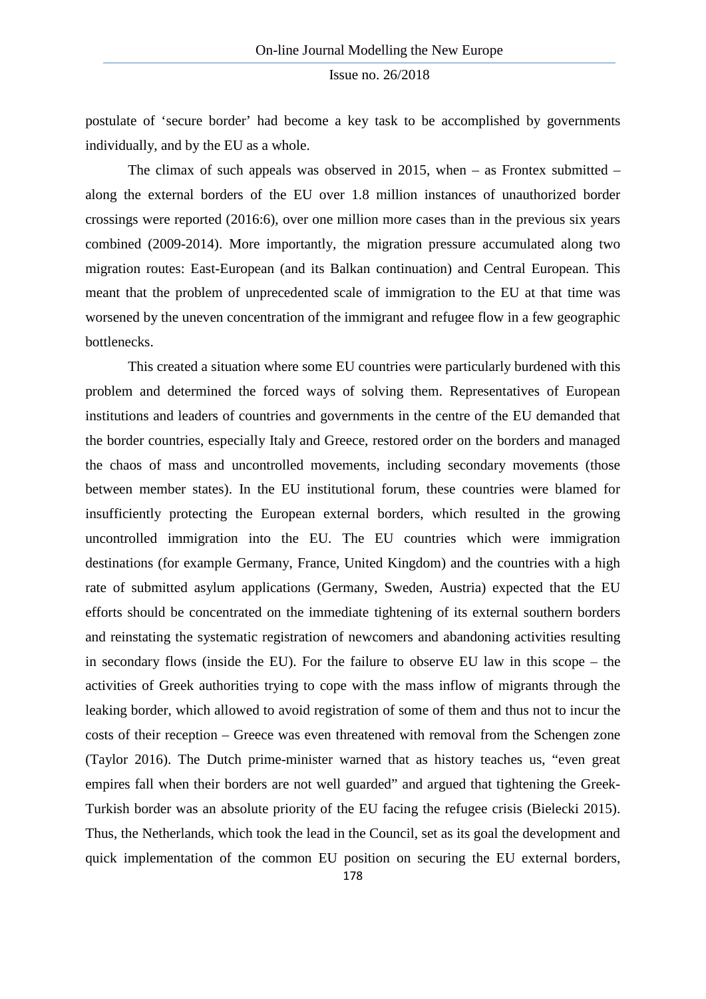postulate of 'secure border' had become a key task to be accomplished by governments individually, and by the EU as a whole.

The climax of such appeals was observed in 2015, when – as Frontex submitted – along the external borders of the EU over 1.8 million instances of unauthorized border crossings were reported (2016:6), over one million more cases than in the previous six years combined (2009-2014). More importantly, the migration pressure accumulated along two migration routes: East-European (and its Balkan continuation) and Central European. This meant that the problem of unprecedented scale of immigration to the EU at that time was worsened by the uneven concentration of the immigrant and refugee flow in a few geographic bottlenecks.

This created a situation where some EU countries were particularly burdened with this problem and determined the forced ways of solving them. Representatives of European institutions and leaders of countries and governments in the centre of the EU demanded that the border countries, especially Italy and Greece, restored order on the borders and managed the chaos of mass and uncontrolled movements, including secondary movements (those between member states). In the EU institutional forum, these countries were blamed for insufficiently protecting the European external borders, which resulted in the growing uncontrolled immigration into the EU. The EU countries which were immigration destinations (for example Germany, France, United Kingdom) and the countries with a high rate of submitted asylum applications (Germany, Sweden, Austria) expected that the EU efforts should be concentrated on the immediate tightening of its external southern borders and reinstating the systematic registration of newcomers and abandoning activities resulting in secondary flows (inside the EU). For the failure to observe EU law in this scope – the activities of Greek authorities trying to cope with the mass inflow of migrants through the leaking border, which allowed to avoid registration of some of them and thus not to incur the costs of their reception – Greece was even threatened with removal from the Schengen zone (Taylor 2016). The Dutch prime-minister warned that as history teaches us, "even great empires fall when their borders are not well guarded" and argued that tightening the Greek-Turkish border was an absolute priority of the EU facing the refugee crisis (Bielecki 2015). Thus, the Netherlands, which took the lead in the Council, set as its goal the development and quick implementation of the common EU position on securing the EU external borders,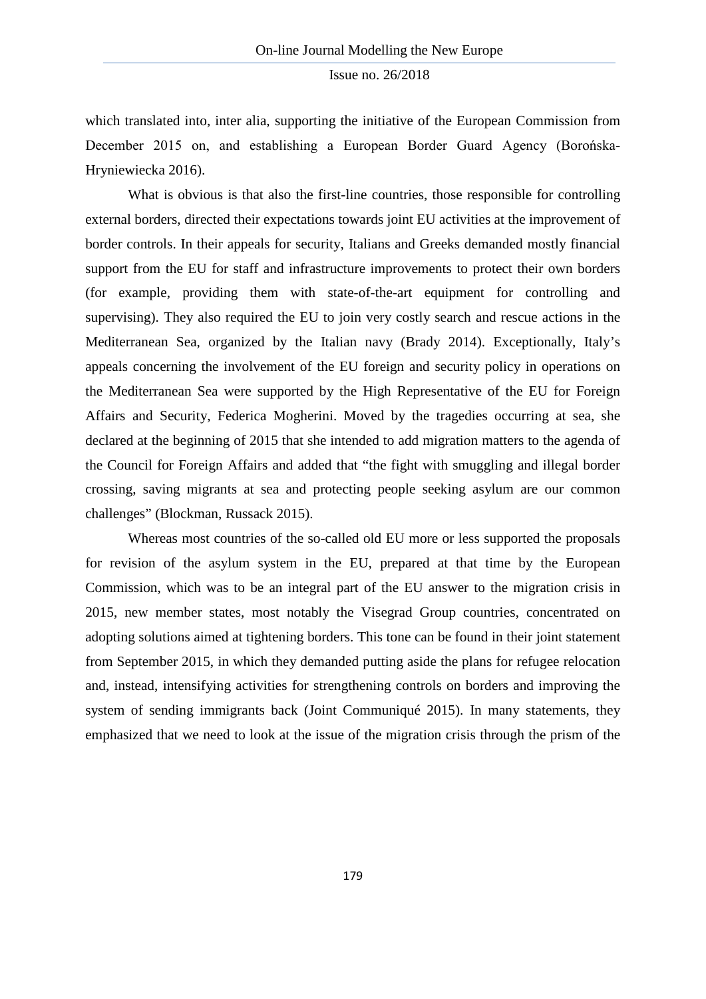which translated into, inter alia, supporting the initiative of the European Commission from December 2015 on, and establishing a European Border Guard Agency (Borońska-Hryniewiecka 2016).

What is obvious is that also the first-line countries, those responsible for controlling external borders, directed their expectations towards joint EU activities at the improvement of border controls. In their appeals for security, Italians and Greeks demanded mostly financial support from the EU for staff and infrastructure improvements to protect their own borders (for example, providing them with state-of-the-art equipment for controlling and supervising). They also required the EU to join very costly search and rescue actions in the Mediterranean Sea, organized by the Italian navy (Brady 2014). Exceptionally, Italy's appeals concerning the involvement of the EU foreign and security policy in operations on the Mediterranean Sea were supported by the High Representative of the EU for Foreign Affairs and Security, Federica Mogherini. Moved by the tragedies occurring at sea, she declared at the beginning of 2015 that she intended to add migration matters to the agenda of the Council for Foreign Affairs and added that "the fight with smuggling and illegal border crossing, saving migrants at sea and protecting people seeking asylum are our common challenges" (Blockman, Russack 2015).

Whereas most countries of the so-called old EU more or less supported the proposals for revision of the asylum system in the EU, prepared at that time by the European Commission, which was to be an integral part of the EU answer to the migration crisis in 2015, new member states, most notably the Visegrad Group countries, concentrated on adopting solutions aimed at tightening borders. This tone can be found in their joint statement from September 2015, in which they demanded putting aside the plans for refugee relocation and, instead, intensifying activities for strengthening controls on borders and improving the system of sending immigrants back (Joint Communiqué 2015). In many statements, they emphasized that we need to look at the issue of the migration crisis through the prism of the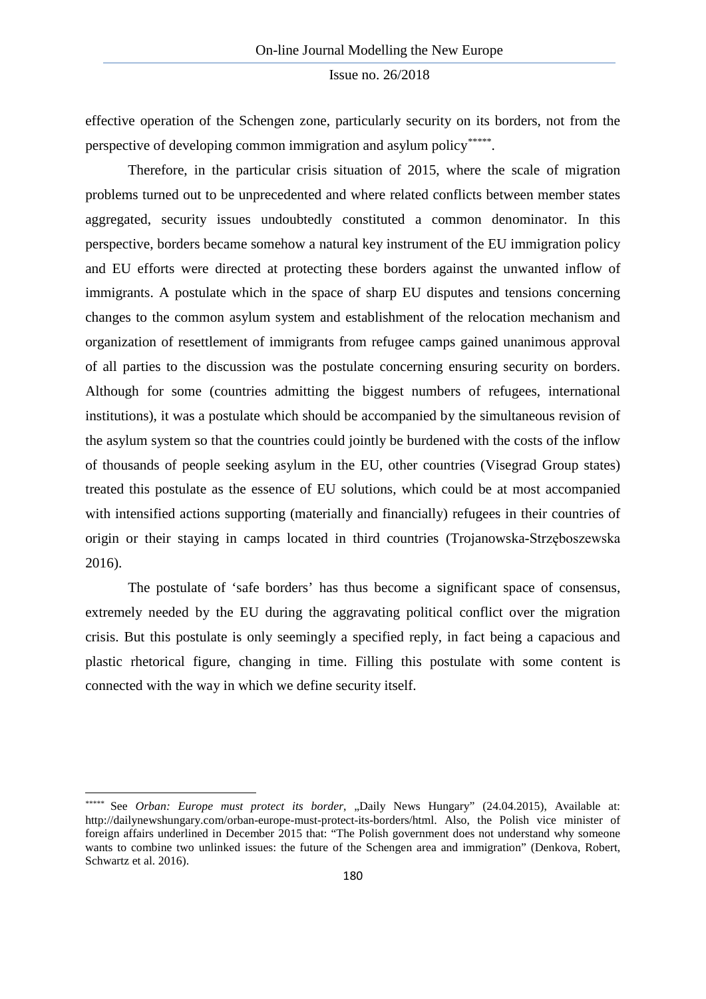effective operation of the Schengen zone, particularly security on its borders, not from the perspective of developing common immigration and asylum policy\*\*\*\*\*[.](#page-11-0) 

Therefore, in the particular crisis situation of 2015, where the scale of migration problems turned out to be unprecedented and where related conflicts between member states aggregated, security issues undoubtedly constituted a common denominator. In this perspective, borders became somehow a natural key instrument of the EU immigration policy and EU efforts were directed at protecting these borders against the unwanted inflow of immigrants. A postulate which in the space of sharp EU disputes and tensions concerning changes to the common asylum system and establishment of the relocation mechanism and organization of resettlement of immigrants from refugee camps gained unanimous approval of all parties to the discussion was the postulate concerning ensuring security on borders. Although for some (countries admitting the biggest numbers of refugees, international institutions), it was a postulate which should be accompanied by the simultaneous revision of the asylum system so that the countries could jointly be burdened with the costs of the inflow of thousands of people seeking asylum in the EU, other countries (Visegrad Group states) treated this postulate as the essence of EU solutions, which could be at most accompanied with intensified actions supporting (materially and financially) refugees in their countries of origin or their staying in camps located in third countries (Trojanowska-Strzęboszewska 2016).

The postulate of 'safe borders' has thus become a significant space of consensus, extremely needed by the EU during the aggravating political conflict over the migration crisis. But this postulate is only seemingly a specified reply, in fact being a capacious and plastic rhetorical figure, changing in time. Filling this postulate with some content is connected with the way in which we define security itself.

 $\overline{\phantom{a}}$ 

<span id="page-11-0"></span><sup>\*\*\*\*\*</sup> See Orban: Europe must protect its border, "Daily News Hungary" (24.04.2015), Available at: http://dailynewshungary.com/orban-europe-must-protect-its-borders/html. Also, the Polish vice minister of foreign affairs underlined in December 2015 that: "The Polish government does not understand why someone wants to combine two unlinked issues: the future of the Schengen area and immigration" (Denkova, Robert, Schwartz et al. 2016).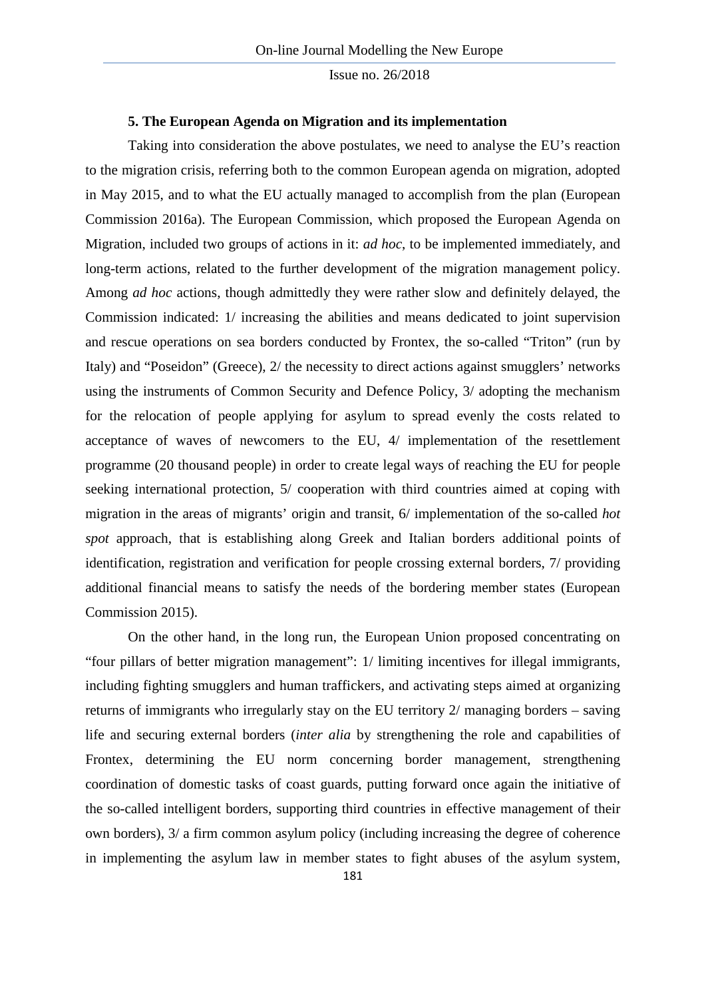#### **5. The European Agenda on Migration and its implementation**

Taking into consideration the above postulates, we need to analyse the EU's reaction to the migration crisis, referring both to the common European agenda on migration, adopted in May 2015, and to what the EU actually managed to accomplish from the plan (European Commission 2016a). The European Commission, which proposed the European Agenda on Migration, included two groups of actions in it: *ad hoc*, to be implemented immediately, and long-term actions, related to the further development of the migration management policy. Among *ad hoc* actions, though admittedly they were rather slow and definitely delayed, the Commission indicated: 1/ increasing the abilities and means dedicated to joint supervision and rescue operations on sea borders conducted by Frontex, the so-called "Triton" (run by Italy) and "Poseidon" (Greece), 2/ the necessity to direct actions against smugglers' networks using the instruments of Common Security and Defence Policy, 3/ adopting the mechanism for the relocation of people applying for asylum to spread evenly the costs related to acceptance of waves of newcomers to the EU, 4/ implementation of the resettlement programme (20 thousand people) in order to create legal ways of reaching the EU for people seeking international protection, 5/ cooperation with third countries aimed at coping with migration in the areas of migrants' origin and transit, 6/ implementation of the so-called *hot spot* approach, that is establishing along Greek and Italian borders additional points of identification, registration and verification for people crossing external borders, 7/ providing additional financial means to satisfy the needs of the bordering member states (European Commission 2015).

On the other hand, in the long run, the European Union proposed concentrating on "four pillars of better migration management": 1/ limiting incentives for illegal immigrants, including fighting smugglers and human traffickers, and activating steps aimed at organizing returns of immigrants who irregularly stay on the EU territory 2/ managing borders – saving life and securing external borders (*inter alia* by strengthening the role and capabilities of Frontex, determining the EU norm concerning border management, strengthening coordination of domestic tasks of coast guards, putting forward once again the initiative of the so-called intelligent borders, supporting third countries in effective management of their own borders), 3/ a firm common asylum policy (including increasing the degree of coherence in implementing the asylum law in member states to fight abuses of the asylum system,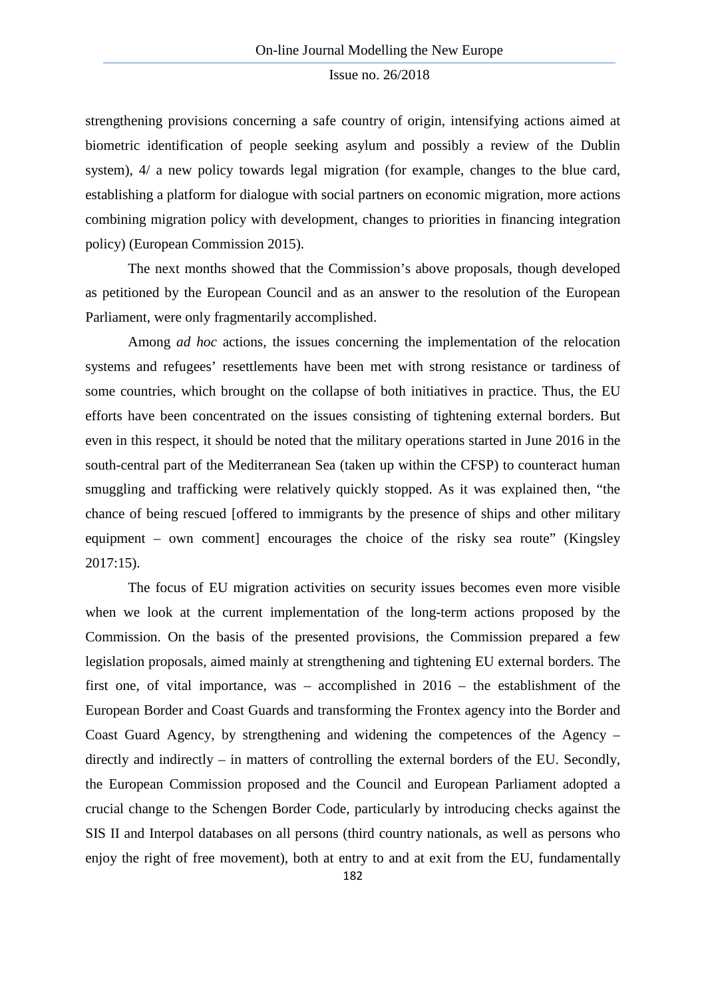strengthening provisions concerning a safe country of origin, intensifying actions aimed at biometric identification of people seeking asylum and possibly a review of the Dublin system),  $4/$  a new policy towards legal migration (for example, changes to the blue card, establishing a platform for dialogue with social partners on economic migration, more actions combining migration policy with development, changes to priorities in financing integration policy) (European Commission 2015).

The next months showed that the Commission's above proposals, though developed as petitioned by the European Council and as an answer to the resolution of the European Parliament, were only fragmentarily accomplished.

Among *ad hoc* actions, the issues concerning the implementation of the relocation systems and refugees' resettlements have been met with strong resistance or tardiness of some countries, which brought on the collapse of both initiatives in practice. Thus, the EU efforts have been concentrated on the issues consisting of tightening external borders. But even in this respect, it should be noted that the military operations started in June 2016 in the south-central part of the Mediterranean Sea (taken up within the CFSP) to counteract human smuggling and trafficking were relatively quickly stopped. As it was explained then, "the chance of being rescued [offered to immigrants by the presence of ships and other military equipment – own comment] encourages the choice of the risky sea route" (Kingsley 2017:15).

The focus of EU migration activities on security issues becomes even more visible when we look at the current implementation of the long-term actions proposed by the Commission. On the basis of the presented provisions, the Commission prepared a few legislation proposals, aimed mainly at strengthening and tightening EU external borders. The first one, of vital importance, was – accomplished in 2016 – the establishment of the European Border and Coast Guards and transforming the Frontex agency into the Border and Coast Guard Agency, by strengthening and widening the competences of the Agency – directly and indirectly – in matters of controlling the external borders of the EU. Secondly, the European Commission proposed and the Council and European Parliament adopted a crucial change to the Schengen Border Code, particularly by introducing checks against the SIS II and Interpol databases on all persons (third country nationals, as well as persons who enjoy the right of free movement), both at entry to and at exit from the EU, fundamentally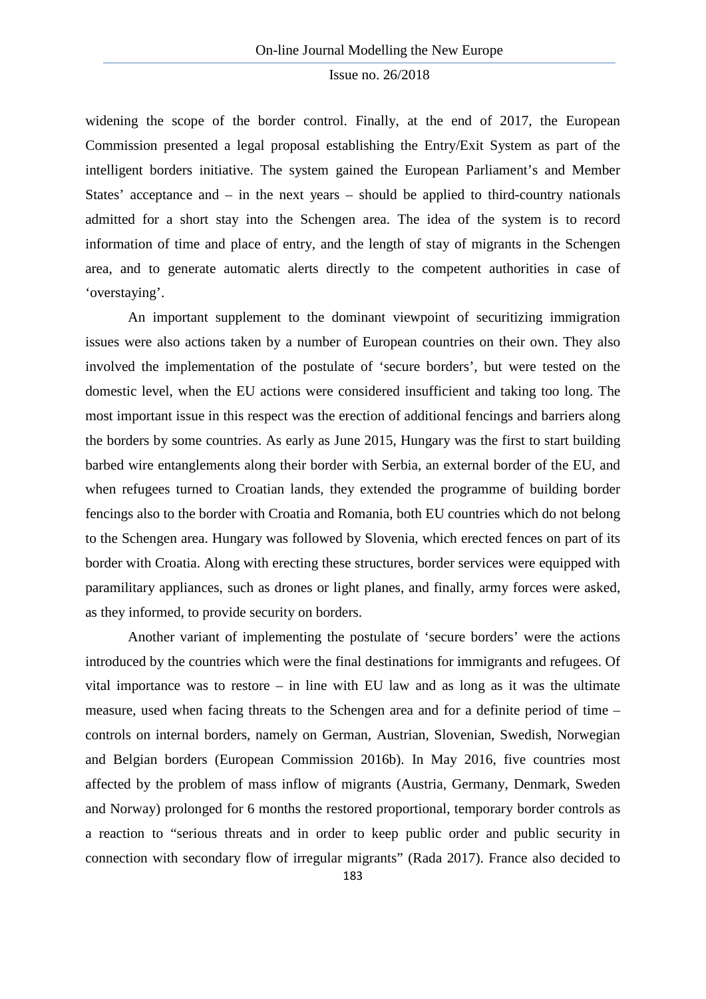widening the scope of the border control. Finally, at the end of 2017, the European Commission presented a legal proposal establishing the Entry/Exit System as part of the intelligent borders initiative. The system gained the European Parliament's and Member States' acceptance and – in the next years – should be applied to third-country nationals admitted for a short stay into the Schengen area. The idea of the system is to record information of time and place of entry, and the length of stay of migrants in the Schengen area, and to generate automatic alerts directly to the competent authorities in case of 'overstaying'.

An important supplement to the dominant viewpoint of securitizing immigration issues were also actions taken by a number of European countries on their own. They also involved the implementation of the postulate of 'secure borders', but were tested on the domestic level, when the EU actions were considered insufficient and taking too long. The most important issue in this respect was the erection of additional fencings and barriers along the borders by some countries. As early as June 2015, Hungary was the first to start building barbed wire entanglements along their border with Serbia, an external border of the EU, and when refugees turned to Croatian lands, they extended the programme of building border fencings also to the border with Croatia and Romania, both EU countries which do not belong to the Schengen area. Hungary was followed by Slovenia, which erected fences on part of its border with Croatia. Along with erecting these structures, border services were equipped with paramilitary appliances, such as drones or light planes, and finally, army forces were asked, as they informed, to provide security on borders.

Another variant of implementing the postulate of 'secure borders' were the actions introduced by the countries which were the final destinations for immigrants and refugees. Of vital importance was to restore – in line with EU law and as long as it was the ultimate measure, used when facing threats to the Schengen area and for a definite period of time – controls on internal borders, namely on German, Austrian, Slovenian, Swedish, Norwegian and Belgian borders (European Commission 2016b). In May 2016, five countries most affected by the problem of mass inflow of migrants (Austria, Germany, Denmark, Sweden and Norway) prolonged for 6 months the restored proportional, temporary border controls as a reaction to "serious threats and in order to keep public order and public security in connection with secondary flow of irregular migrants" (Rada 2017). France also decided to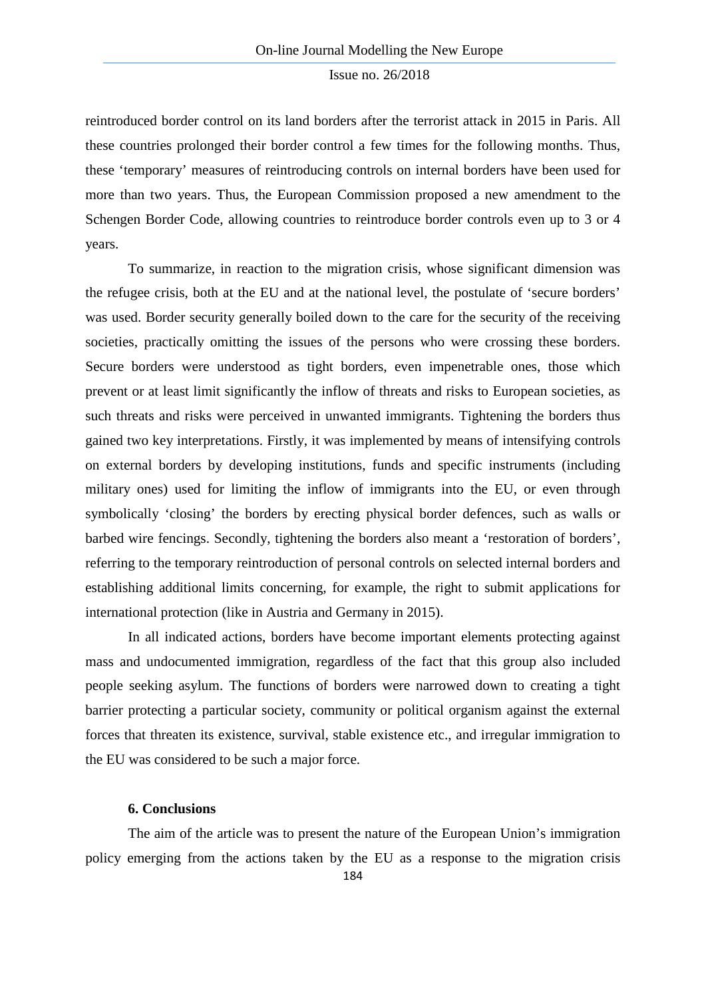reintroduced border control on its land borders after the terrorist attack in 2015 in Paris. All these countries prolonged their border control a few times for the following months. Thus, these 'temporary' measures of reintroducing controls on internal borders have been used for more than two years. Thus, the European Commission proposed a new amendment to the Schengen Border Code, allowing countries to reintroduce border controls even up to 3 or 4 years.

To summarize, in reaction to the migration crisis, whose significant dimension was the refugee crisis, both at the EU and at the national level, the postulate of 'secure borders' was used. Border security generally boiled down to the care for the security of the receiving societies, practically omitting the issues of the persons who were crossing these borders. Secure borders were understood as tight borders, even impenetrable ones, those which prevent or at least limit significantly the inflow of threats and risks to European societies, as such threats and risks were perceived in unwanted immigrants. Tightening the borders thus gained two key interpretations. Firstly, it was implemented by means of intensifying controls on external borders by developing institutions, funds and specific instruments (including military ones) used for limiting the inflow of immigrants into the EU, or even through symbolically 'closing' the borders by erecting physical border defences, such as walls or barbed wire fencings. Secondly, tightening the borders also meant a 'restoration of borders', referring to the temporary reintroduction of personal controls on selected internal borders and establishing additional limits concerning, for example, the right to submit applications for international protection (like in Austria and Germany in 2015).

In all indicated actions, borders have become important elements protecting against mass and undocumented immigration, regardless of the fact that this group also included people seeking asylum. The functions of borders were narrowed down to creating a tight barrier protecting a particular society, community or political organism against the external forces that threaten its existence, survival, stable existence etc., and irregular immigration to the EU was considered to be such a major force.

#### **6. Conclusions**

The aim of the article was to present the nature of the European Union's immigration policy emerging from the actions taken by the EU as a response to the migration crisis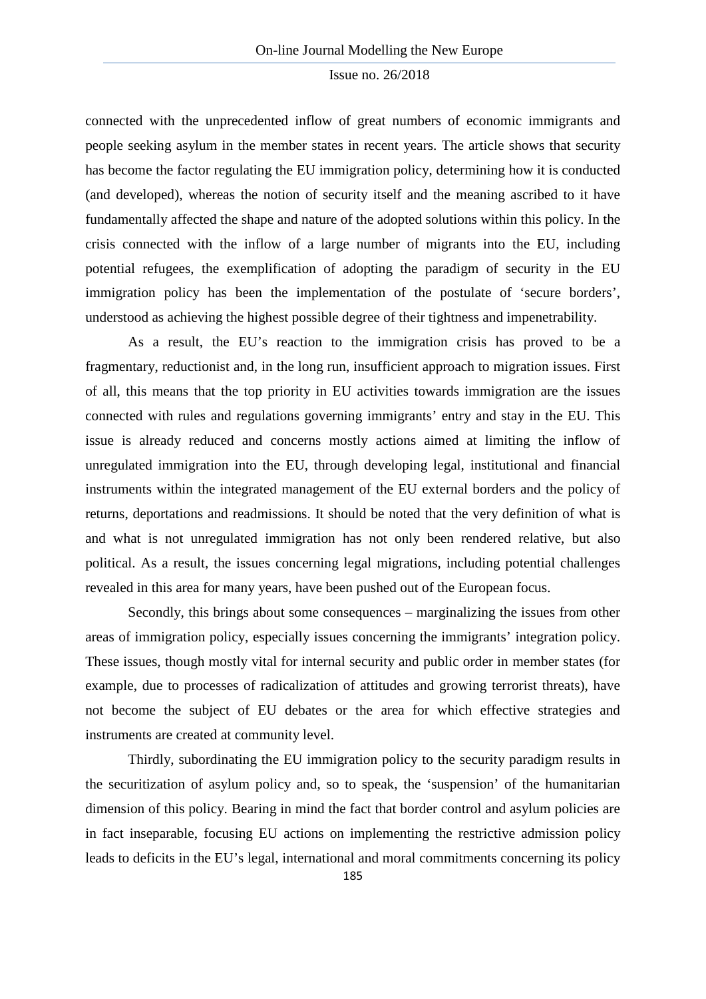connected with the unprecedented inflow of great numbers of economic immigrants and people seeking asylum in the member states in recent years. The article shows that security has become the factor regulating the EU immigration policy, determining how it is conducted (and developed), whereas the notion of security itself and the meaning ascribed to it have fundamentally affected the shape and nature of the adopted solutions within this policy. In the crisis connected with the inflow of a large number of migrants into the EU, including potential refugees, the exemplification of adopting the paradigm of security in the EU immigration policy has been the implementation of the postulate of 'secure borders', understood as achieving the highest possible degree of their tightness and impenetrability.

As a result, the EU's reaction to the immigration crisis has proved to be a fragmentary, reductionist and, in the long run, insufficient approach to migration issues. First of all, this means that the top priority in EU activities towards immigration are the issues connected with rules and regulations governing immigrants' entry and stay in the EU. This issue is already reduced and concerns mostly actions aimed at limiting the inflow of unregulated immigration into the EU, through developing legal, institutional and financial instruments within the integrated management of the EU external borders and the policy of returns, deportations and readmissions. It should be noted that the very definition of what is and what is not unregulated immigration has not only been rendered relative, but also political. As a result, the issues concerning legal migrations, including potential challenges revealed in this area for many years, have been pushed out of the European focus.

Secondly, this brings about some consequences – marginalizing the issues from other areas of immigration policy, especially issues concerning the immigrants' integration policy. These issues, though mostly vital for internal security and public order in member states (for example, due to processes of radicalization of attitudes and growing terrorist threats), have not become the subject of EU debates or the area for which effective strategies and instruments are created at community level.

Thirdly, subordinating the EU immigration policy to the security paradigm results in the securitization of asylum policy and, so to speak, the 'suspension' of the humanitarian dimension of this policy. Bearing in mind the fact that border control and asylum policies are in fact inseparable, focusing EU actions on implementing the restrictive admission policy leads to deficits in the EU's legal, international and moral commitments concerning its policy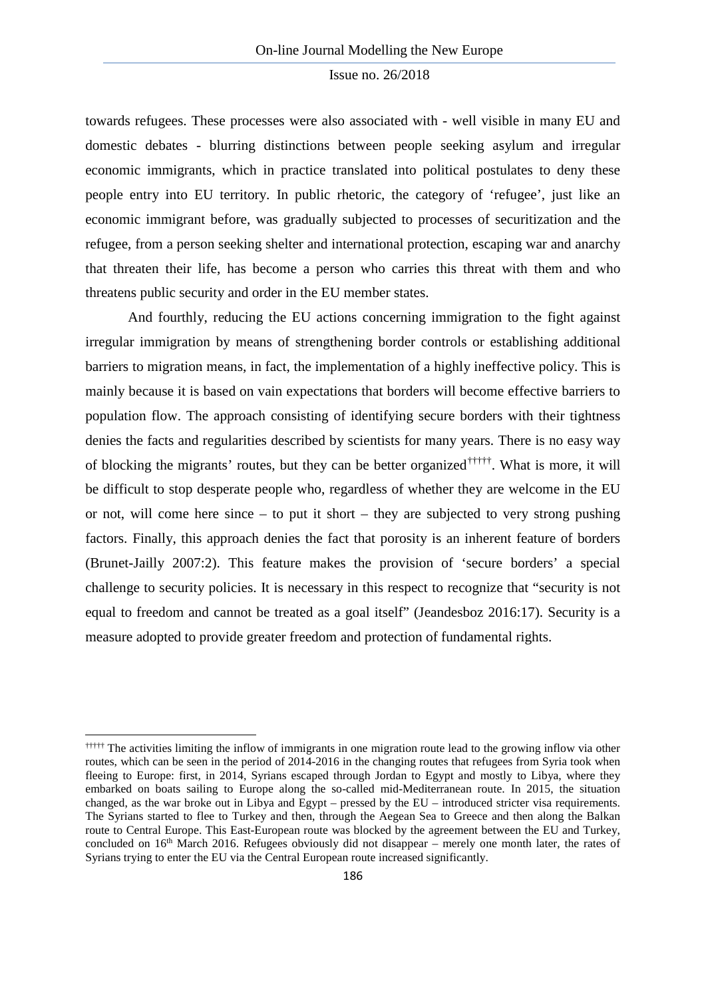towards refugees. These processes were also associated with - well visible in many EU and domestic debates - blurring distinctions between people seeking asylum and irregular economic immigrants, which in practice translated into political postulates to deny these people entry into EU territory. In public rhetoric, the category of 'refugee', just like an economic immigrant before, was gradually subjected to processes of securitization and the refugee, from a person seeking shelter and international protection, escaping war and anarchy that threaten their life, has become a person who carries this threat with them and who threatens public security and order in the EU member states.

And fourthly, reducing the EU actions concerning immigration to the fight against irregular immigration by means of strengthening border controls or establishing additional barriers to migration means, in fact, the implementation of a highly ineffective policy. This is mainly because it is based on vain expectations that borders will become effective barriers to population flow. The approach consisting of identifying secure borders with their tightness denies the facts and regularities described by scientists for many years. There is no easy way of blocking the migrants' routes, but they can be better organized†††††. What is more, it will be difficult to stop desperate people who, regardless of whether they are welcome in the EU or not, will come here since [–](#page-17-0) to put it short – they are subjected to very strong pushing factors. Finally, this approach denies the fact that porosity is an inherent feature of borders (Brunet-Jailly 2007:2). This feature makes the provision of 'secure borders' a special challenge to security policies. It is necessary in this respect to recognize that "security is not equal to freedom and cannot be treated as a goal itself" (Jeandesboz 2016:17). Security is a measure adopted to provide greater freedom and protection of fundamental rights.

**.** 

<span id="page-17-0"></span><sup>††††††</sup> The activities limiting the inflow of immigrants in one migration route lead to the growing inflow via other routes, which can be seen in the period of 2014-2016 in the changing routes that refugees from Syria took when fleeing to Europe: first, in 2014, Syrians escaped through Jordan to Egypt and mostly to Libya, where they embarked on boats sailing to Europe along the so-called mid-Mediterranean route. In 2015, the situation changed, as the war broke out in Libya and Egypt – pressed by the EU – introduced stricter visa requirements. The Syrians started to flee to Turkey and then, through the Aegean Sea to Greece and then along the Balkan route to Central Europe. This East-European route was blocked by the agreement between the EU and Turkey, concluded on  $16<sup>th</sup>$  March 2016. Refugees obviously did not disappear – merely one month later, the rates of Syrians trying to enter the EU via the Central European route increased significantly.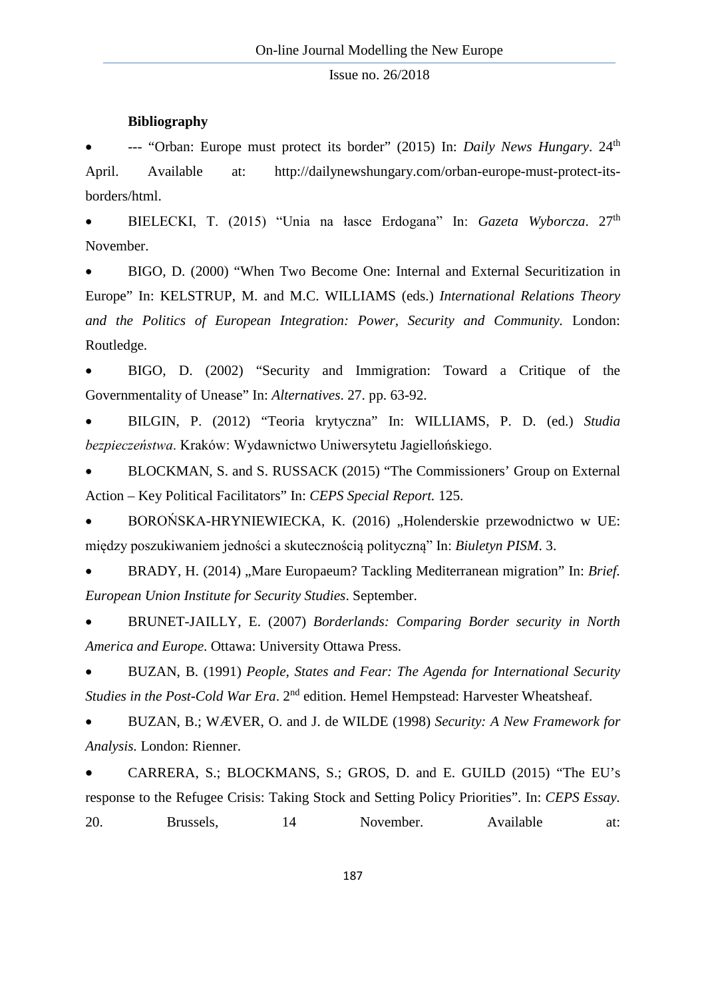#### **Bibliography**

• --- "Orban: Europe must protect its border" (2015) In: *Daily News Hungary*. 24th April. Available at: http://dailynewshungary.com/orban-europe-must-protect-itsborders/html.

• BIELECKI, T. (2015) "Unia na łasce Erdogana" In: *Gazeta Wyborcza*. 27th November.

• BIGO, D. (2000) "When Two Become One: Internal and External Securitization in Europe" In: KELSTRUP, M. and M.C. WILLIAMS (eds.) *International Relations Theory and the Politics of European Integration: Power, Security and Community.* London: Routledge.

• BIGO, D. (2002) "Security and Immigration: Toward a Critique of the Governmentality of Unease" In: *Alternatives*. 27. pp. 63-92.

• BILGIN, P. (2012) "Teoria krytyczna" In: WILLIAMS, P. D. (ed.) *Studia bezpieczeństwa*. Kraków: Wydawnictwo Uniwersytetu Jagiellońskiego.

• BLOCKMAN, S. and S. RUSSACK (2015) "The Commissioners' Group on External Action – Key Political Facilitators" In: *CEPS Special Report.* 125.

BOROŃSKA-HRYNIEWIECKA, K. (2016) "Holenderskie przewodnictwo w UE: między poszukiwaniem jedności a skutecznością polityczną" In: *Biuletyn PISM*. 3.

BRADY, H. (2014) "Mare Europaeum? Tackling Mediterranean migration" In: *Brief. European Union Institute for Security Studies*. September.

• BRUNET-JAILLY, E. (2007) *Borderlands: Comparing Border security in North America and Europe*. Ottawa: University Ottawa Press.

• BUZAN, B. (1991) *People, States and Fear: The Agenda for International Security Studies in the Post-Cold War Era.* 2<sup>nd</sup> edition. Hemel Hempstead: Harvester Wheatsheaf.

• BUZAN, B.; WÆVER, O. and J. de WILDE (1998) *Security: A New Framework for Analysis.* London: Rienner.

• CARRERA, S.; BLOCKMANS, S.; GROS, D. and E. GUILD (2015) "The EU's response to the Refugee Crisis: Taking Stock and Setting Policy Priorities". In: *CEPS Essay.* 20. Brussels, 14 November. Available at: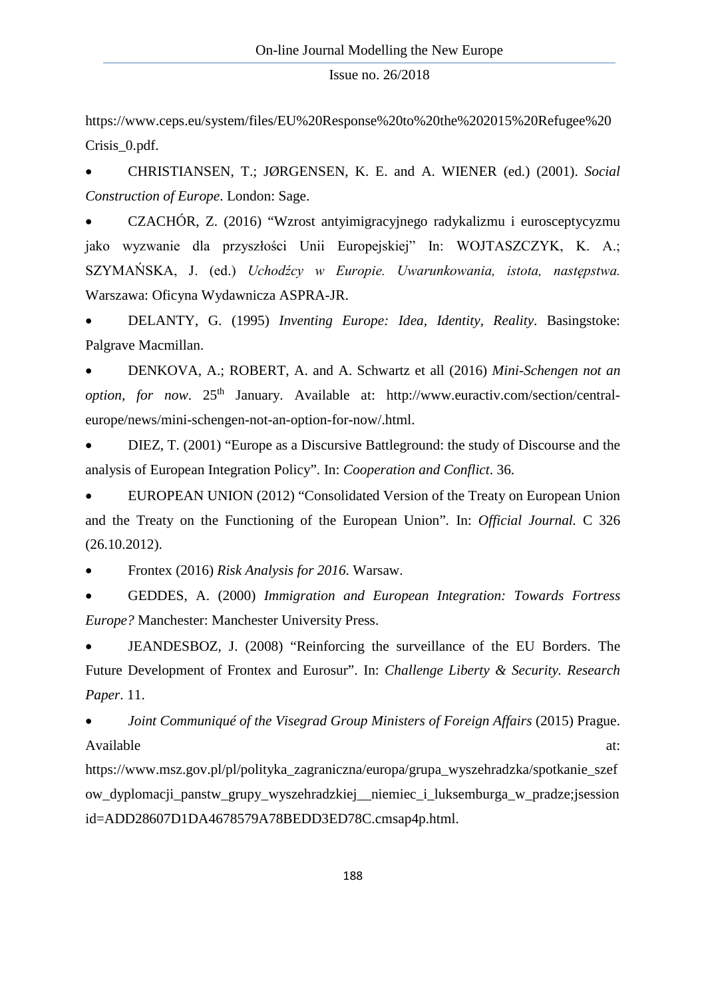https://www.ceps.eu/system/files/EU%20Response%20to%20the%202015%20Refugee%20 Crisis\_0.pdf.

• CHRISTIANSEN, T.; JØRGENSEN, K. E. and A. WIENER (ed.) (2001). *Social Construction of Europe*. London: Sage.

• CZACHÓR, Z. (2016) "Wzrost antyimigracyjnego radykalizmu i eurosceptycyzmu jako wyzwanie dla przyszłości Unii Europejskiej" In: WOJTASZCZYK, K. A.; SZYMAŃSKA, J. (ed.) *Uchodźcy w Europie. Uwarunkowania, istota, następstwa.* Warszawa: Oficyna Wydawnicza ASPRA-JR.

• DELANTY, G. (1995) *Inventing Europe: Idea, Identity, Reality*. Basingstoke: Palgrave Macmillan.

• DENKOVA, A.; ROBERT, A. and A. Schwartz et all (2016) *Mini-Schengen not an option, for now.* 25<sup>th</sup> January. Available at: http://www.euractiv.com/section/centraleurope/news/mini-schengen-not-an-option-for-now/.html.

• DIEZ, T. (2001) "Europe as a Discursive Battleground: the study of Discourse and the analysis of European Integration Policy". In: *Cooperation and Conflict*. 36.

• EUROPEAN UNION (2012) "Consolidated Version of the Treaty on European Union and the Treaty on the Functioning of the European Union"*.* In: *Official Journal.* C 326 (26.10.2012).

• Frontex (2016) *Risk Analysis for 2016*. Warsaw.

• GEDDES, A. (2000) *Immigration and European Integration: Towards Fortress Europe?* Manchester: Manchester University Press.

• JEANDESBOZ, J. (2008) "Reinforcing the surveillance of the EU Borders. The Future Development of Frontex and Eurosur". In: *Challenge Liberty & Security. Research Paper*. 11.

• *Joint Communiqué of the Visegrad Group Ministers of Foreign Affairs* (2015) Prague. Available at:  $\alpha$ 

https://www.msz.gov.pl/pl/polityka\_zagraniczna/europa/grupa\_wyszehradzka/spotkanie\_szef ow\_dyplomacji\_panstw\_grupy\_wyszehradzkiej\_\_niemiec\_i\_luksemburga\_w\_pradze;jsession id=ADD28607D1DA4678579A78BEDD3ED78C.cmsap4p.html.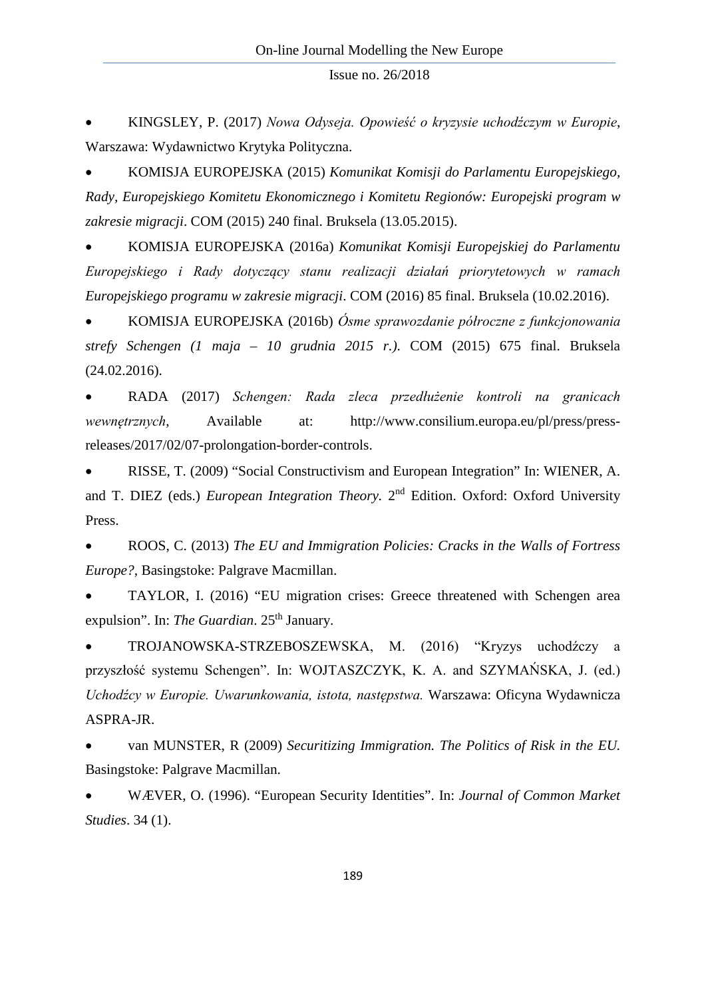• KINGSLEY, P. (2017) *Nowa Odyseja. Opowieść o kryzysie uchodźczym w Europie*, Warszawa: Wydawnictwo Krytyka Polityczna.

• KOMISJA EUROPEJSKA (2015) *Komunikat Komisji do Parlamentu Europejskiego, Rady, Europejskiego Komitetu Ekonomicznego i Komitetu Regionów: Europejski program w zakresie migracji*. COM (2015) 240 final. Bruksela (13.05.2015).

• KOMISJA EUROPEJSKA (2016a) *Komunikat Komisji Europejskiej do Parlamentu Europejskiego i Rady dotyczący stanu realizacji działań priorytetowych w ramach Europejskiego programu w zakresie migracji*. COM (2016) 85 final. Bruksela (10.02.2016).

• KOMISJA EUROPEJSKA (2016b) *Ósme sprawozdanie półroczne z funkcjonowania strefy Schengen (1 maja – 10 grudnia 2015 r.)*. COM (2015) 675 final. Bruksela (24.02.2016).

• RADA (2017) *Schengen: Rada zleca przedłużenie kontroli na granicach wewnętrznych*, Available at: http://www.consilium.europa.eu/pl/press/pressreleases/2017/02/07-prolongation-border-controls.

• RISSE, T. (2009) "Social Constructivism and European Integration" In: WIENER, A. and T. DIEZ (eds.) *European Integration Theory.* 2nd Edition. Oxford: Oxford University Press.

• ROOS, C. (2013) *The EU and Immigration Policies: Cracks in the Walls of Fortress Europe?*, Basingstoke: Palgrave Macmillan.

• TAYLOR, I. (2016) "EU migration crises: Greece threatened with Schengen area expulsion". In: *The Guardian*. 25<sup>th</sup> January.

• TROJANOWSKA-STRZEBOSZEWSKA, M. (2016) "Kryzys uchodźczy a przyszłość systemu Schengen". In: WOJTASZCZYK, K. A. and SZYMAŃSKA, J. (ed.) *Uchodźcy w Europie. Uwarunkowania, istota, następstwa.* Warszawa: Oficyna Wydawnicza ASPRA-JR.

• van MUNSTER, R (2009) *Securitizing Immigration. The Politics of Risk in the EU.*  Basingstoke: Palgrave Macmillan.

• WÆVER, O. (1996). "European Security Identities". In: *Journal of Common Market Studies*. 34 (1).